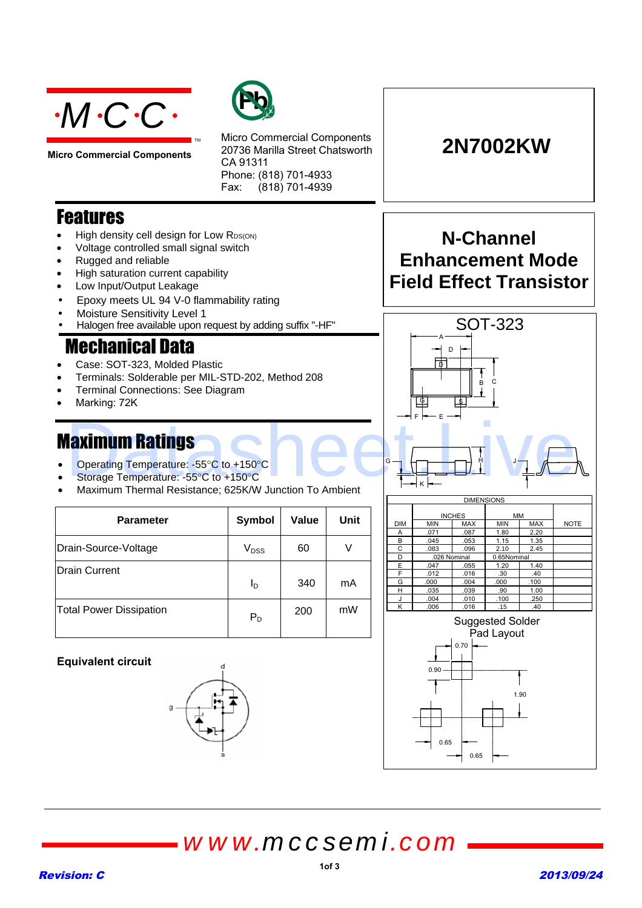

**Micro Commercial Components**



Micro Commercial Components 20736 Marilla Street Chatsworth CA 91311 Phone: (818) 701-4933 Fax: (818) 701-4939

## **Features**

- High density cell design for Low RDS(ON)
- Voltage controlled small signal switch
- Rugged and reliable
- High saturation current capability
- Low Input/Output Leakage
- Epoxy meets UL 94 V-0 flammability rating
- Moisture Sensitivity Level 1
- Halogen free available upon request by adding suffix "-HF"

TM

# **Mechanical Data**

- Case: SOT-323, Molded Plastic
- Terminals: Solderable per MIL-STD-202, Method 208
- Terminal Connections: See Diagram
- Marking: 72K

- Operating Temperature: -55°C to +150°C
- Storage Temperature: -55°C to +150°C
- Maximum Thermal Resistance; 625K/W Junction To Ambient

| <b>Parameter</b>               | Symbol           | <b>Value</b> | Unit |
|--------------------------------|------------------|--------------|------|
| Drain-Source-Voltage           | V <sub>DSS</sub> | 60           |      |
| Drain Current                  | I <sub>D</sub>   | 340          | mA   |
| <b>Total Power Dissipation</b> | $P_D$            | 200          | mW   |

#### **Equivalent circuit**





**2N7002KW**







*www.mccsemi.com*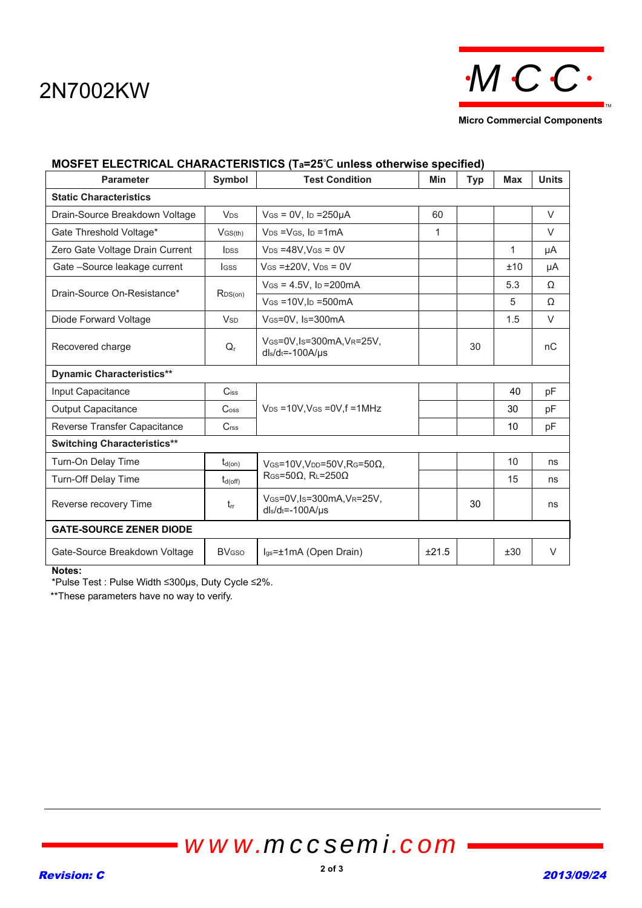

**Micro Commercial Components**

| <b>Parameter</b>                   | Symbol                      | <b>Test Condition</b>                                     | <b>Min</b> | <b>Typ</b> | <b>Max</b> | <b>Units</b> |
|------------------------------------|-----------------------------|-----------------------------------------------------------|------------|------------|------------|--------------|
| <b>Static Characteristics</b>      |                             |                                                           |            |            |            |              |
| Drain-Source Breakdown Voltage     | <b>V<sub>DS</sub></b>       | $V$ GS = 0V, lp = 250 $\mu$ A                             | 60         |            |            | $\vee$       |
| Gate Threshold Voltage*            | $V$ GS(th)                  | $V_{DS} = V_{GS}$ . Ip =1mA                               | 1          |            |            | $\vee$       |
| Zero Gate Voltage Drain Current    | <b>l</b> <sub>pss</sub>     | $V_{DS} = 48V$ , $V_{GS} = 0V$                            |            |            | 1          | μA           |
| Gate -Source leakage current       | <b>I</b> GSS                | $V$ GS = $\pm$ 20V, V <sub>DS</sub> = 0V                  |            |            | ±10        | μA           |
| Drain-Source On-Resistance*        | RDS(on)                     | $V$ GS = 4.5V, lp = 200 mA                                |            |            | 5.3        | Ω            |
|                                    |                             | $V$ GS = 10V, ID = 500 mA                                 |            |            | 5          | Ω            |
| Diode Forward Voltage              | <b>V<sub>SD</sub></b>       | VGS=0V, Is=300mA                                          |            |            | 1.5        | V            |
| Recovered charge                   | $Q_{r}$                     | VGS=0V, Is=300mA, VR=25V,<br>$dl_s/d_t = -100A/\mu s$     |            | 30         |            | nC           |
| <b>Dynamic Characteristics**</b>   |                             |                                                           |            |            |            |              |
| Input Capacitance                  | $C$ iss                     |                                                           |            |            | 40         | pF           |
| <b>Output Capacitance</b>          | $\mathrm{C}$ <sub>oss</sub> | $V_{DS}$ =10V, VGS =0V, f =1MHz                           |            |            | 30         | pF           |
| Reverse Transfer Capacitance       | C <sub>rss</sub>            |                                                           |            |            | 10         | pF           |
| <b>Switching Characteristics**</b> |                             |                                                           |            |            |            |              |
| Turn-On Delay Time                 | $t_{d(on)}$                 | $V$ GS=10V, VDD=50V, RG=50 $\Omega$ ,                     |            |            | 10         | ns           |
| <b>Turn-Off Delay Time</b>         | $t_{d(\text{off})}$         | $\mathsf{R}$ GS=50 $\Omega$ , $\mathsf{R}$ L=250 $\Omega$ |            |            | 15         | ns           |
| Reverse recovery Time              | $t_{rr}$                    | VGS=0V,Is=300mA,VR=25V,<br>$dl_s/d_t = -100A/\mu s$       |            | 30         |            | ns           |
| <b>GATE-SOURCE ZENER DIODE</b>     |                             |                                                           |            |            |            |              |
| Gate-Source Breakdown Voltage      | <b>BV<sub>GSO</sub></b>     | lgs=±1mA (Open Drain)                                     | ±21.5      |            | ±30        | V            |

### **MOSFET ELECTRICAL CHARACTERISTICS (Ta=25**℃ **unless otherwise specified)**

**Notes:** 

\*Pulse Test : Pulse Width ≤300µs, Duty Cycle ≤2%.

\*\*These parameters have no way to verify.

*www.mccsemi.com*